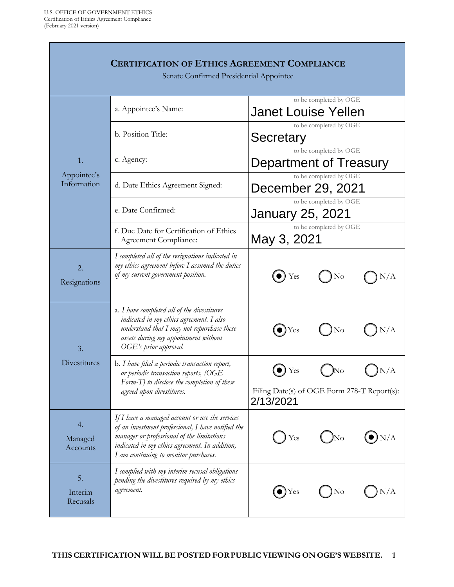| <b>CERTIFICATION OF ETHICS AGREEMENT COMPLIANCE</b><br>Senate Confirmed Presidential Appointee |                                                                                                                                                                                                                                                |                                                          |  |  |  |
|------------------------------------------------------------------------------------------------|------------------------------------------------------------------------------------------------------------------------------------------------------------------------------------------------------------------------------------------------|----------------------------------------------------------|--|--|--|
| 1.<br>Appointee's<br>Information                                                               | a. Appointee's Name:                                                                                                                                                                                                                           | to be completed by OGE<br><b>Janet Louise Yellen</b>     |  |  |  |
|                                                                                                | b. Position Title:                                                                                                                                                                                                                             | to be completed by OGE<br>Secretary                      |  |  |  |
|                                                                                                | c. Agency:                                                                                                                                                                                                                                     | to be completed by OGE<br>Department of Treasury         |  |  |  |
|                                                                                                | d. Date Ethics Agreement Signed:                                                                                                                                                                                                               | to be completed by OGE<br>December 29, 2021              |  |  |  |
|                                                                                                | e. Date Confirmed:                                                                                                                                                                                                                             | to be completed by OGE<br>January 25, 2021               |  |  |  |
|                                                                                                | f. Due Date for Certification of Ethics<br>Agreement Compliance:                                                                                                                                                                               | to be completed by OGE<br>May 3, 2021                    |  |  |  |
| 2.<br>Resignations                                                                             | I completed all of the resignations indicated in<br>my ethics agreement before I assumed the duties<br>of my current government position.                                                                                                      | Yes<br>No<br>$\rm N/A$                                   |  |  |  |
| 3.<br>Divestitures                                                                             | a. I have completed all of the divestitures<br>indicated in my ethics agreement. I also<br>understand that $I$ may not repurchase these<br>assets during my appointment without<br>OGE's prior approval.                                       | N/A<br>$\blacktriangleright$ Yes<br>No                   |  |  |  |
|                                                                                                | b. I have filed a periodic transaction report,<br>or periodic transaction reports, (OGE<br>Form-T) to disclose the completion of these<br>agreed upon divestitures.                                                                            | N/A<br>Yes                                               |  |  |  |
|                                                                                                |                                                                                                                                                                                                                                                | Filing Date(s) of OGE Form 278-T Report(s):<br>2/13/2021 |  |  |  |
| 4.<br>Managed<br>Accounts                                                                      | If I have a managed account or use the services<br>of an investment professional, I have notified the<br>manager or professional of the limitations<br>indicated in my ethics agreement. In addition,<br>I am continuing to monitor purchases. | N/A<br>Yes<br>$\overline{\text{No}}$                     |  |  |  |
| 5.<br>Interim<br>Recusals                                                                      | I complied with my interim recusal obligations<br>pending the divestitures required by my ethics<br>agreement.                                                                                                                                 | N/A<br>Yes<br>No                                         |  |  |  |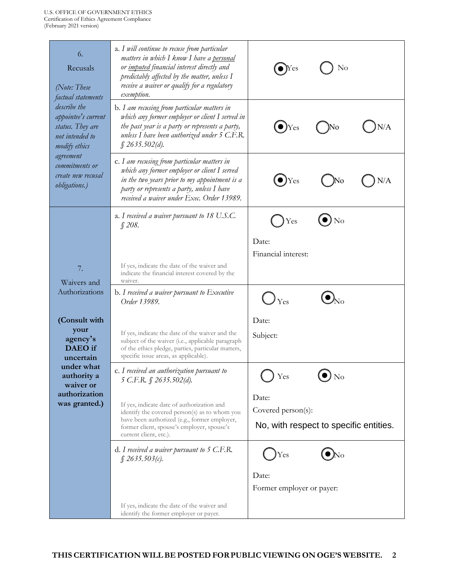| 6.<br>Recusals<br>$(\text{Note:} \text{These})$<br>factual statements<br>describe the<br>appointee's current<br>status. They are<br>not intended to<br>modify ethics<br>agreement<br>commitments or<br>create new recusal<br><i>obligations.</i> ) | a. I will continue to recuse from particular<br>matters in which I know I have a personal<br>or <i>imputed</i> financial interest directly and<br>predictably affected by the matter, unless I<br>receive a waiver or qualify for a regulatory<br>exemption. | No                                      |  |  |
|----------------------------------------------------------------------------------------------------------------------------------------------------------------------------------------------------------------------------------------------------|--------------------------------------------------------------------------------------------------------------------------------------------------------------------------------------------------------------------------------------------------------------|-----------------------------------------|--|--|
|                                                                                                                                                                                                                                                    | b. I am recusing from particular matters in<br>which any former employer or client I served in<br>the past year is a party or represents a party,<br>unless I have been authorized under 5 C.F.R.<br>\$2635.502(d).                                          | N/A<br>$\blacktriangleright$ )Yes<br>No |  |  |
|                                                                                                                                                                                                                                                    | c. I am recusing from particular matters in<br>which any former employer or client $I$ served<br>in the two years prior to my appointment is a<br>party or represents a party, unless I have<br>received a waiver under Exec. Order 13989.                   | $\bullet$ )Yes<br>N/A                   |  |  |
|                                                                                                                                                                                                                                                    | a. I received a waiver pursuant to 18 U.S.C.<br>\$208.                                                                                                                                                                                                       | ) No<br>Yes                             |  |  |
| 7.<br>Waivers and<br>Authorizations                                                                                                                                                                                                                |                                                                                                                                                                                                                                                              | Date:<br>Financial interest:            |  |  |
|                                                                                                                                                                                                                                                    | If yes, indicate the date of the waiver and<br>indicate the financial interest covered by the<br>waiver.                                                                                                                                                     |                                         |  |  |
|                                                                                                                                                                                                                                                    | b. I received a waiver pursuant to Executive<br>Order 13989.                                                                                                                                                                                                 | Yes                                     |  |  |
| (Consult with                                                                                                                                                                                                                                      |                                                                                                                                                                                                                                                              | Date:                                   |  |  |
| your<br>agency's<br><b>DAEO</b> if<br>uncertain<br>under what<br>authority a<br>waiver or<br>authorization<br>was granted.)                                                                                                                        | If yes, indicate the date of the waiver and the<br>subject of the waiver (i.e., applicable paragraph<br>of the ethics pledge, parties, particular matters,<br>specific issue areas, as applicable).                                                          | Subject:                                |  |  |
|                                                                                                                                                                                                                                                    | c. I received an authorization pursuant to<br>5 C.F.R. § 2635.502(d).                                                                                                                                                                                        | Yes<br>$\bullet$ No                     |  |  |
|                                                                                                                                                                                                                                                    | If yes, indicate date of authorization and                                                                                                                                                                                                                   | Date:                                   |  |  |
|                                                                                                                                                                                                                                                    | identify the covered person(s) as to whom you<br>have been authorized (e.g., former employer,                                                                                                                                                                | Covered person(s):                      |  |  |
|                                                                                                                                                                                                                                                    | former client, spouse's employer, spouse's<br>current client, etc.).                                                                                                                                                                                         | No, with respect to specific entities.  |  |  |
|                                                                                                                                                                                                                                                    | $d. I$ received a waiver pursuant to 5 C.F.R.<br>$\int$ 2635.503(c).                                                                                                                                                                                         | Yes                                     |  |  |
|                                                                                                                                                                                                                                                    |                                                                                                                                                                                                                                                              | Date:<br>Former employer or payer:      |  |  |
|                                                                                                                                                                                                                                                    | If yes, indicate the date of the waiver and<br>identify the former employer or payer.                                                                                                                                                                        |                                         |  |  |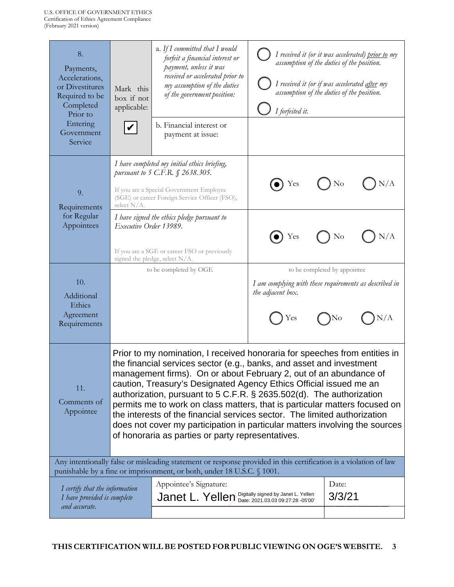| 8.<br>Payments,<br>Accelerations,<br>or Divestitures<br>Required to be<br>Completed<br>Prior to<br>Entering<br>Government<br>Service                                                       | Mark this<br>box if not<br>applicable:                                                                                                                                                                                                                                                                                                                                                                                                                                                                                                                                                                                                                               | a. If I committed that I would<br>forfeit a financial interest or<br>payment, unless it was<br>received or accelerated prior to<br>my assumption of the duties<br>of the government position:<br>b. Financial interest or<br>payment at issue: | I forfeited it.          | I received it (or it was accelerated) <u>prior to</u> my<br>assumption of the duties of the position.<br>I received it (or if was accelerated after my<br>assumption of the duties of the position. |  |
|--------------------------------------------------------------------------------------------------------------------------------------------------------------------------------------------|----------------------------------------------------------------------------------------------------------------------------------------------------------------------------------------------------------------------------------------------------------------------------------------------------------------------------------------------------------------------------------------------------------------------------------------------------------------------------------------------------------------------------------------------------------------------------------------------------------------------------------------------------------------------|------------------------------------------------------------------------------------------------------------------------------------------------------------------------------------------------------------------------------------------------|--------------------------|-----------------------------------------------------------------------------------------------------------------------------------------------------------------------------------------------------|--|
| 9.<br>Requirements                                                                                                                                                                         | select N/A.                                                                                                                                                                                                                                                                                                                                                                                                                                                                                                                                                                                                                                                          | I have completed my initial ethics briefing,<br>pursuant to 5 C.F.R. § 2638.305.<br>If you are a Special Government Employee<br>(SGE) or career Foreign Service Officer (FSO),                                                                 | Yes                      | N/A<br>N <sub>o</sub>                                                                                                                                                                               |  |
| for Regular<br>Appointees                                                                                                                                                                  | Executive Order 13989.                                                                                                                                                                                                                                                                                                                                                                                                                                                                                                                                                                                                                                               | I have signed the ethics pledge pursuant to<br>If you are a SGE or career FSO or previously<br>signed the pledge, select N/A.                                                                                                                  | Yes                      | N/A<br>No                                                                                                                                                                                           |  |
| 10.<br>Additional<br>Ethics<br>Agreement<br>Requirements                                                                                                                                   |                                                                                                                                                                                                                                                                                                                                                                                                                                                                                                                                                                                                                                                                      | to be completed by OGE                                                                                                                                                                                                                         | the adjacent box.<br>Yes | to be completed by appointee<br>I am complying with these requirements as described in<br>N/A<br>)No                                                                                                |  |
| 11.<br>Comments of<br>Appointee                                                                                                                                                            | Prior to my nomination, I received honoraria for speeches from entities in<br>the financial services sector (e.g., banks, and asset and investment<br>management firms). On or about February 2, out of an abundance of<br>caution, Treasury's Designated Agency Ethics Official issued me an<br>authorization, pursuant to 5 C.F.R. § 2635.502(d). The authorization<br>permits me to work on class matters, that is particular matters focused on<br>the interests of the financial services sector. The limited authorization<br>does not cover my participation in particular matters involving the sources<br>of honoraria as parties or party representatives. |                                                                                                                                                                                                                                                |                          |                                                                                                                                                                                                     |  |
| Any intentionally false or misleading statement or response provided in this certification is a violation of law<br>punishable by a fine or imprisonment, or both, under 18 U.S.C. § 1001. |                                                                                                                                                                                                                                                                                                                                                                                                                                                                                                                                                                                                                                                                      |                                                                                                                                                                                                                                                |                          |                                                                                                                                                                                                     |  |
| I certify that the information<br>I have provided is complete<br>and accurate.                                                                                                             |                                                                                                                                                                                                                                                                                                                                                                                                                                                                                                                                                                                                                                                                      | Appointee's Signature:<br>Janet L. Yellen Digitally signed by Janet L. Yellen                                                                                                                                                                  |                          | Date:<br>3/3/21                                                                                                                                                                                     |  |
|                                                                                                                                                                                            |                                                                                                                                                                                                                                                                                                                                                                                                                                                                                                                                                                                                                                                                      |                                                                                                                                                                                                                                                |                          |                                                                                                                                                                                                     |  |